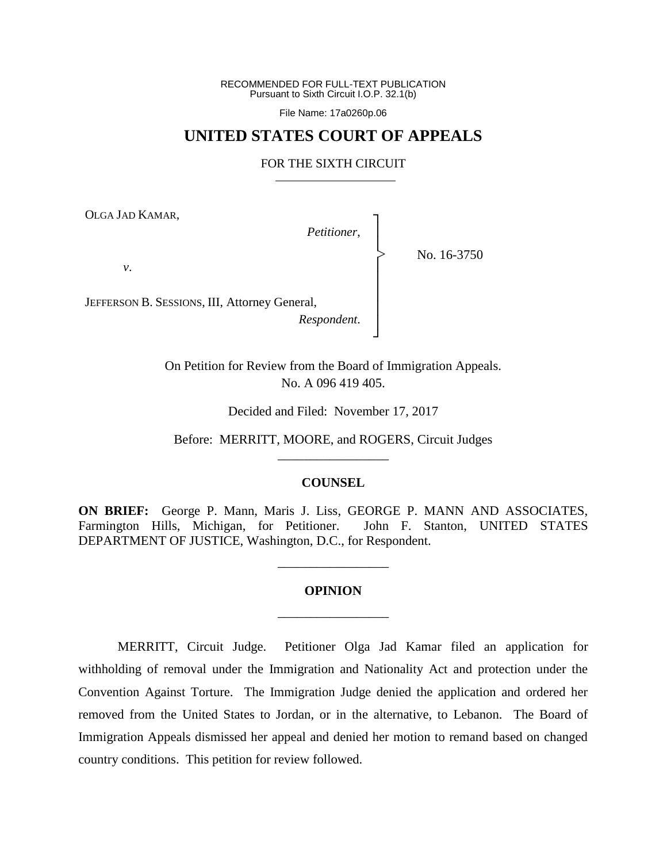RECOMMENDED FOR FULL-TEXT PUBLICATION Pursuant to Sixth Circuit I.O.P. 32.1(b)

File Name: 17a0260p.06

# **UNITED STATES COURT OF APPEALS**

#### FOR THE SIXTH CIRCUIT

OLGA JAD KAMAR,

*Petitioner*,

┐ │ │ │ │ │ │ │ ┘

|<br>|<br>|

No. 16-3750

*v*.

JEFFERSON B. SESSIONS, III, Attorney General, *Respondent*.

> On Petition for Review from the Board of Immigration Appeals. No. A 096 419 405.

> > Decided and Filed: November 17, 2017

Before: MERRITT, MOORE, and ROGERS, Circuit Judges \_\_\_\_\_\_\_\_\_\_\_\_\_\_\_\_\_

#### **COUNSEL**

**ON BRIEF:** George P. Mann, Maris J. Liss, GEORGE P. MANN AND ASSOCIATES, Farmington Hills, Michigan, for Petitioner. John F. Stanton, UNITED STATES DEPARTMENT OF JUSTICE, Washington, D.C., for Respondent.

# **OPINION** \_\_\_\_\_\_\_\_\_\_\_\_\_\_\_\_\_

\_\_\_\_\_\_\_\_\_\_\_\_\_\_\_\_\_

MERRITT, Circuit Judge. Petitioner Olga Jad Kamar filed an application for withholding of removal under the Immigration and Nationality Act and protection under the Convention Against Torture. The Immigration Judge denied the application and ordered her removed from the United States to Jordan, or in the alternative, to Lebanon. The Board of Immigration Appeals dismissed her appeal and denied her motion to remand based on changed country conditions. This petition for review followed.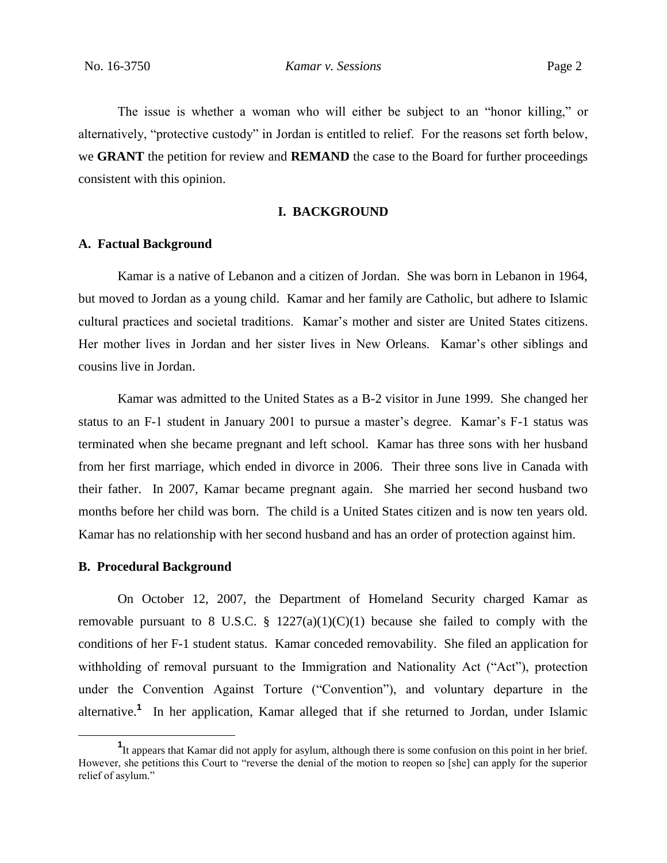The issue is whether a woman who will either be subject to an "honor killing," or alternatively, "protective custody" in Jordan is entitled to relief. For the reasons set forth below, we **GRANT** the petition for review and **REMAND** the case to the Board for further proceedings consistent with this opinion.

## **I. BACKGROUND**

#### **A. Factual Background**

Kamar is a native of Lebanon and a citizen of Jordan. She was born in Lebanon in 1964, but moved to Jordan as a young child. Kamar and her family are Catholic, but adhere to Islamic cultural practices and societal traditions. Kamar's mother and sister are United States citizens. Her mother lives in Jordan and her sister lives in New Orleans. Kamar's other siblings and cousins live in Jordan.

Kamar was admitted to the United States as a B-2 visitor in June 1999. She changed her status to an F-1 student in January 2001 to pursue a master's degree. Kamar's F-1 status was terminated when she became pregnant and left school. Kamar has three sons with her husband from her first marriage, which ended in divorce in 2006. Their three sons live in Canada with their father. In 2007, Kamar became pregnant again. She married her second husband two months before her child was born. The child is a United States citizen and is now ten years old. Kamar has no relationship with her second husband and has an order of protection against him.

#### **B. Procedural Background**

 $\overline{a}$ 

On October 12, 2007, the Department of Homeland Security charged Kamar as removable pursuant to 8 U.S.C.  $\S$  1227(a)(1)(C)(1) because she failed to comply with the conditions of her F-1 student status. Kamar conceded removability. She filed an application for withholding of removal pursuant to the Immigration and Nationality Act ("Act"), protection under the Convention Against Torture ("Convention"), and voluntary departure in the alternative.**<sup>1</sup>** In her application, Kamar alleged that if she returned to Jordan, under Islamic

<sup>&</sup>lt;sup>1</sup>It appears that Kamar did not apply for asylum, although there is some confusion on this point in her brief. However, she petitions this Court to "reverse the denial of the motion to reopen so [she] can apply for the superior relief of asylum."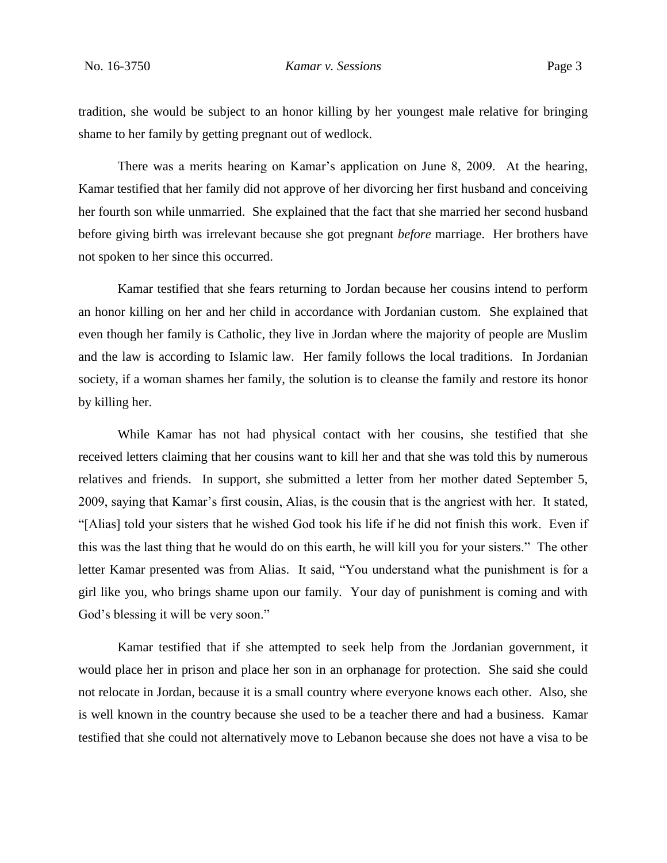tradition, she would be subject to an honor killing by her youngest male relative for bringing shame to her family by getting pregnant out of wedlock.

There was a merits hearing on Kamar's application on June 8, 2009. At the hearing, Kamar testified that her family did not approve of her divorcing her first husband and conceiving her fourth son while unmarried. She explained that the fact that she married her second husband before giving birth was irrelevant because she got pregnant *before* marriage. Her brothers have not spoken to her since this occurred.

Kamar testified that she fears returning to Jordan because her cousins intend to perform an honor killing on her and her child in accordance with Jordanian custom. She explained that even though her family is Catholic, they live in Jordan where the majority of people are Muslim and the law is according to Islamic law. Her family follows the local traditions. In Jordanian society, if a woman shames her family, the solution is to cleanse the family and restore its honor by killing her.

While Kamar has not had physical contact with her cousins, she testified that she received letters claiming that her cousins want to kill her and that she was told this by numerous relatives and friends. In support, she submitted a letter from her mother dated September 5, 2009, saying that Kamar's first cousin, Alias, is the cousin that is the angriest with her. It stated, "[Alias] told your sisters that he wished God took his life if he did not finish this work. Even if this was the last thing that he would do on this earth, he will kill you for your sisters." The other letter Kamar presented was from Alias. It said, "You understand what the punishment is for a girl like you, who brings shame upon our family. Your day of punishment is coming and with God's blessing it will be very soon."

Kamar testified that if she attempted to seek help from the Jordanian government, it would place her in prison and place her son in an orphanage for protection. She said she could not relocate in Jordan, because it is a small country where everyone knows each other. Also, she is well known in the country because she used to be a teacher there and had a business. Kamar testified that she could not alternatively move to Lebanon because she does not have a visa to be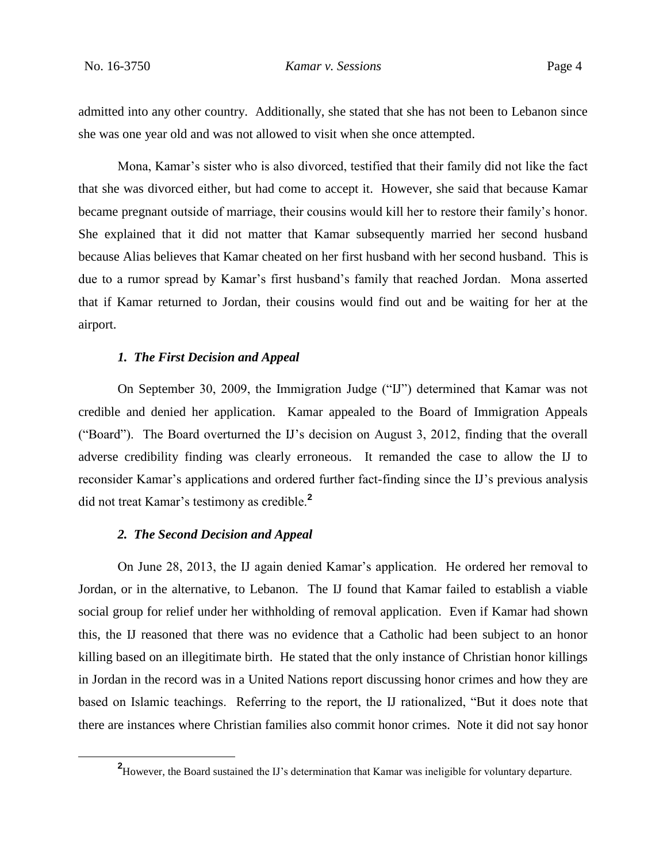$\overline{a}$ 

admitted into any other country. Additionally, she stated that she has not been to Lebanon since she was one year old and was not allowed to visit when she once attempted.

Mona, Kamar's sister who is also divorced, testified that their family did not like the fact that she was divorced either, but had come to accept it. However, she said that because Kamar became pregnant outside of marriage, their cousins would kill her to restore their family's honor. She explained that it did not matter that Kamar subsequently married her second husband because Alias believes that Kamar cheated on her first husband with her second husband. This is due to a rumor spread by Kamar's first husband's family that reached Jordan. Mona asserted that if Kamar returned to Jordan, their cousins would find out and be waiting for her at the airport.

## *1. The First Decision and Appeal*

On September 30, 2009, the Immigration Judge ("IJ") determined that Kamar was not credible and denied her application. Kamar appealed to the Board of Immigration Appeals ("Board"). The Board overturned the IJ's decision on August 3, 2012, finding that the overall adverse credibility finding was clearly erroneous. It remanded the case to allow the IJ to reconsider Kamar's applications and ordered further fact-finding since the IJ's previous analysis did not treat Kamar's testimony as credible.**<sup>2</sup>**

# *2. The Second Decision and Appeal*

On June 28, 2013, the IJ again denied Kamar's application. He ordered her removal to Jordan, or in the alternative, to Lebanon. The IJ found that Kamar failed to establish a viable social group for relief under her withholding of removal application. Even if Kamar had shown this, the IJ reasoned that there was no evidence that a Catholic had been subject to an honor killing based on an illegitimate birth. He stated that the only instance of Christian honor killings in Jordan in the record was in a United Nations report discussing honor crimes and how they are based on Islamic teachings. Referring to the report, the IJ rationalized, "But it does note that there are instances where Christian families also commit honor crimes. Note it did not say honor

<sup>&</sup>lt;sup>2</sup>However, the Board sustained the IJ's determination that Kamar was ineligible for voluntary departure.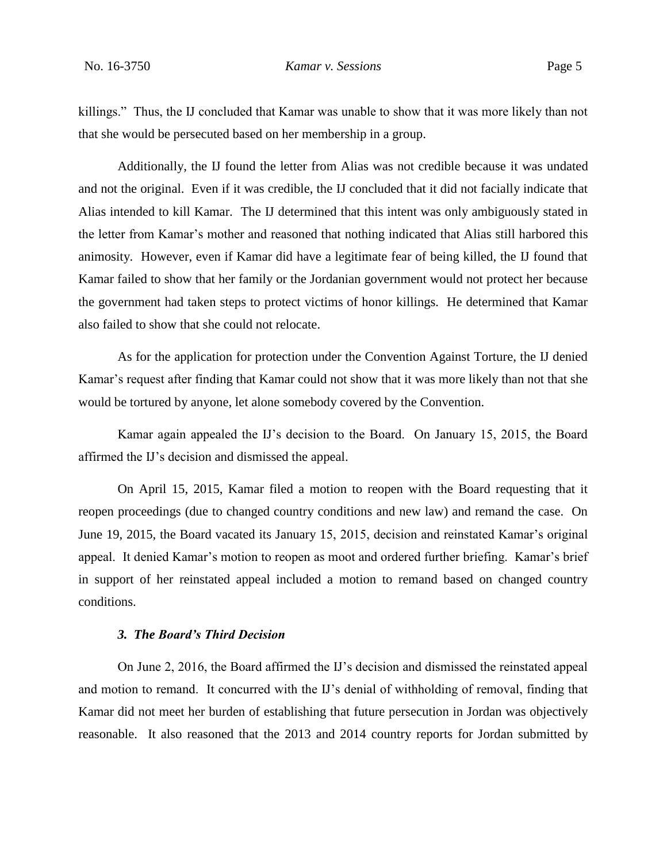killings." Thus, the IJ concluded that Kamar was unable to show that it was more likely than not that she would be persecuted based on her membership in a group.

Additionally, the IJ found the letter from Alias was not credible because it was undated and not the original. Even if it was credible, the IJ concluded that it did not facially indicate that Alias intended to kill Kamar. The IJ determined that this intent was only ambiguously stated in the letter from Kamar's mother and reasoned that nothing indicated that Alias still harbored this animosity. However, even if Kamar did have a legitimate fear of being killed, the IJ found that Kamar failed to show that her family or the Jordanian government would not protect her because the government had taken steps to protect victims of honor killings. He determined that Kamar also failed to show that she could not relocate.

As for the application for protection under the Convention Against Torture, the IJ denied Kamar's request after finding that Kamar could not show that it was more likely than not that she would be tortured by anyone, let alone somebody covered by the Convention.

Kamar again appealed the IJ's decision to the Board. On January 15, 2015, the Board affirmed the IJ's decision and dismissed the appeal.

On April 15, 2015, Kamar filed a motion to reopen with the Board requesting that it reopen proceedings (due to changed country conditions and new law) and remand the case. On June 19, 2015, the Board vacated its January 15, 2015, decision and reinstated Kamar's original appeal. It denied Kamar's motion to reopen as moot and ordered further briefing. Kamar's brief in support of her reinstated appeal included a motion to remand based on changed country conditions.

#### *3. The Board's Third Decision*

On June 2, 2016, the Board affirmed the IJ's decision and dismissed the reinstated appeal and motion to remand. It concurred with the IJ's denial of withholding of removal, finding that Kamar did not meet her burden of establishing that future persecution in Jordan was objectively reasonable. It also reasoned that the 2013 and 2014 country reports for Jordan submitted by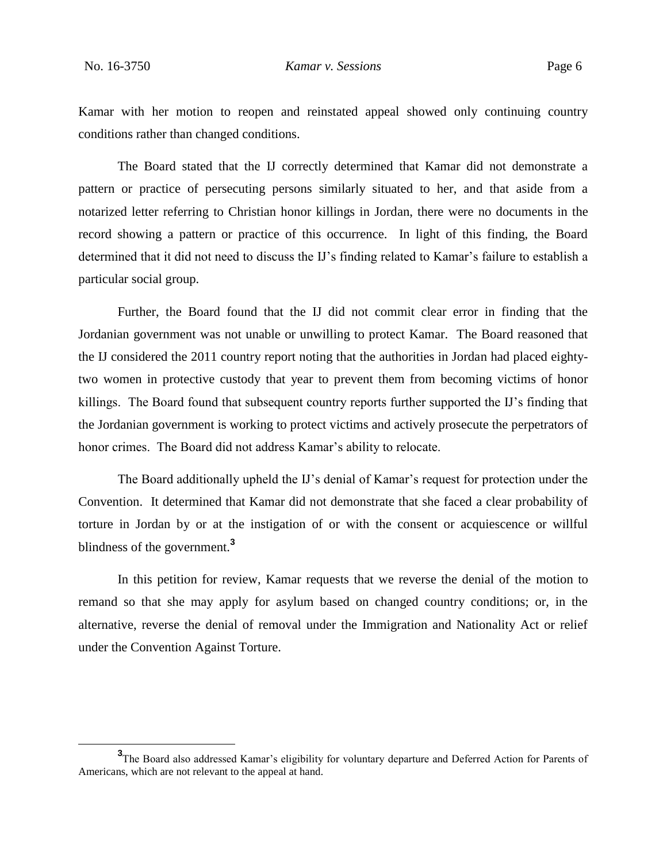$\overline{a}$ 

Kamar with her motion to reopen and reinstated appeal showed only continuing country conditions rather than changed conditions.

The Board stated that the IJ correctly determined that Kamar did not demonstrate a pattern or practice of persecuting persons similarly situated to her, and that aside from a notarized letter referring to Christian honor killings in Jordan, there were no documents in the record showing a pattern or practice of this occurrence. In light of this finding, the Board determined that it did not need to discuss the IJ's finding related to Kamar's failure to establish a particular social group.

Further, the Board found that the IJ did not commit clear error in finding that the Jordanian government was not unable or unwilling to protect Kamar. The Board reasoned that the IJ considered the 2011 country report noting that the authorities in Jordan had placed eightytwo women in protective custody that year to prevent them from becoming victims of honor killings. The Board found that subsequent country reports further supported the IJ's finding that the Jordanian government is working to protect victims and actively prosecute the perpetrators of honor crimes. The Board did not address Kamar's ability to relocate.

The Board additionally upheld the IJ's denial of Kamar's request for protection under the Convention. It determined that Kamar did not demonstrate that she faced a clear probability of torture in Jordan by or at the instigation of or with the consent or acquiescence or willful blindness of the government.**<sup>3</sup>**

In this petition for review, Kamar requests that we reverse the denial of the motion to remand so that she may apply for asylum based on changed country conditions; or, in the alternative, reverse the denial of removal under the Immigration and Nationality Act or relief under the Convention Against Torture.

<sup>&</sup>lt;sup>3</sup>The Board also addressed Kamar's eligibility for voluntary departure and Deferred Action for Parents of Americans, which are not relevant to the appeal at hand.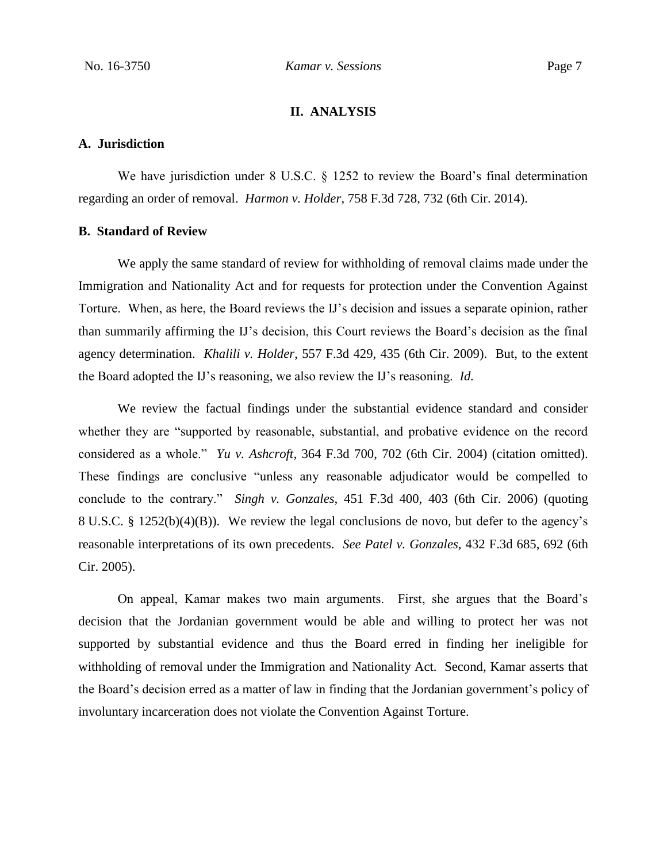#### **II. ANALYSIS**

# **A. Jurisdiction**

We have jurisdiction under 8 U.S.C. § 1252 to review the Board's final determination regarding an order of removal. *Harmon v. Holder*, 758 F.3d 728, 732 (6th Cir. 2014).

#### **B. Standard of Review**

We apply the same standard of review for withholding of removal claims made under the Immigration and Nationality Act and for requests for protection under the Convention Against Torture. When, as here, the Board reviews the IJ's decision and issues a separate opinion, rather than summarily affirming the IJ's decision, this Court reviews the Board's decision as the final agency determination. *Khalili v. Holder*, 557 F.3d 429, 435 (6th Cir. 2009). But, to the extent the Board adopted the IJ's reasoning, we also review the IJ's reasoning. *Id.*

We review the factual findings under the substantial evidence standard and consider whether they are "supported by reasonable, substantial, and probative evidence on the record considered as a whole." *Yu v. Ashcroft*, 364 F.3d 700, 702 (6th Cir. 2004) (citation omitted). These findings are conclusive "unless any reasonable adjudicator would be compelled to conclude to the contrary." *Singh v. Gonzales*, 451 F.3d 400, 403 (6th Cir. 2006) (quoting 8 U.S.C. § 1252(b)(4)(B)). We review the legal conclusions de novo, but defer to the agency's reasonable interpretations of its own precedents. *See Patel v. Gonzales*, 432 F.3d 685, 692 (6th Cir. 2005).

On appeal, Kamar makes two main arguments. First, she argues that the Board's decision that the Jordanian government would be able and willing to protect her was not supported by substantial evidence and thus the Board erred in finding her ineligible for withholding of removal under the Immigration and Nationality Act. Second, Kamar asserts that the Board's decision erred as a matter of law in finding that the Jordanian government's policy of involuntary incarceration does not violate the Convention Against Torture.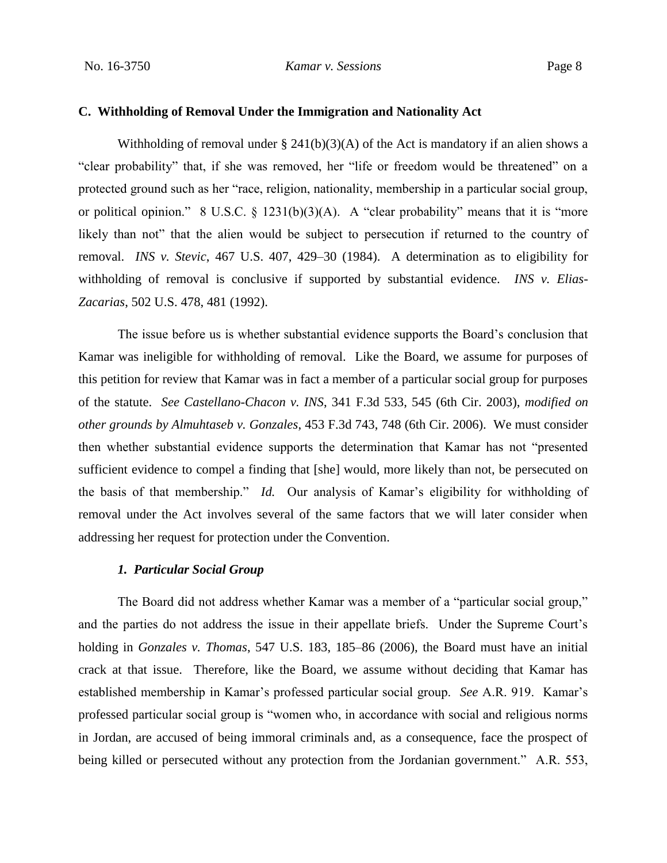#### **C. Withholding of Removal Under the Immigration and Nationality Act**

Withholding of removal under  $\S$  241(b)(3)(A) of the Act is mandatory if an alien shows a "clear probability" that, if she was removed, her "life or freedom would be threatened" on a protected ground such as her "race, religion, nationality, membership in a particular social group, or political opinion." 8 U.S.C.  $\S$  1231(b)(3)(A). A "clear probability" means that it is "more likely than not" that the alien would be subject to persecution if returned to the country of removal. *INS v. Stevic*, 467 U.S. 407, 429–30 (1984). A determination as to eligibility for withholding of removal is conclusive if supported by substantial evidence. *INS v. Elias-Zacarias*, 502 U.S. 478, 481 (1992).

The issue before us is whether substantial evidence supports the Board's conclusion that Kamar was ineligible for withholding of removal. Like the Board, we assume for purposes of this petition for review that Kamar was in fact a member of a particular social group for purposes of the statute. *See Castellano-Chacon v. INS*, 341 F.3d 533, 545 (6th Cir. 2003), *modified on other grounds by Almuhtaseb v. Gonzales*, 453 F.3d 743, 748 (6th Cir. 2006). We must consider then whether substantial evidence supports the determination that Kamar has not "presented sufficient evidence to compel a finding that [she] would, more likely than not, be persecuted on the basis of that membership." *Id.* Our analysis of Kamar's eligibility for withholding of removal under the Act involves several of the same factors that we will later consider when addressing her request for protection under the Convention.

## *1. Particular Social Group*

The Board did not address whether Kamar was a member of a "particular social group," and the parties do not address the issue in their appellate briefs. Under the Supreme Court's holding in *Gonzales v. Thomas*, 547 U.S. 183, 185–86 (2006), the Board must have an initial crack at that issue. Therefore, like the Board, we assume without deciding that Kamar has established membership in Kamar's professed particular social group. *See* A.R. 919. Kamar's professed particular social group is "women who, in accordance with social and religious norms in Jordan, are accused of being immoral criminals and, as a consequence, face the prospect of being killed or persecuted without any protection from the Jordanian government." A.R. 553,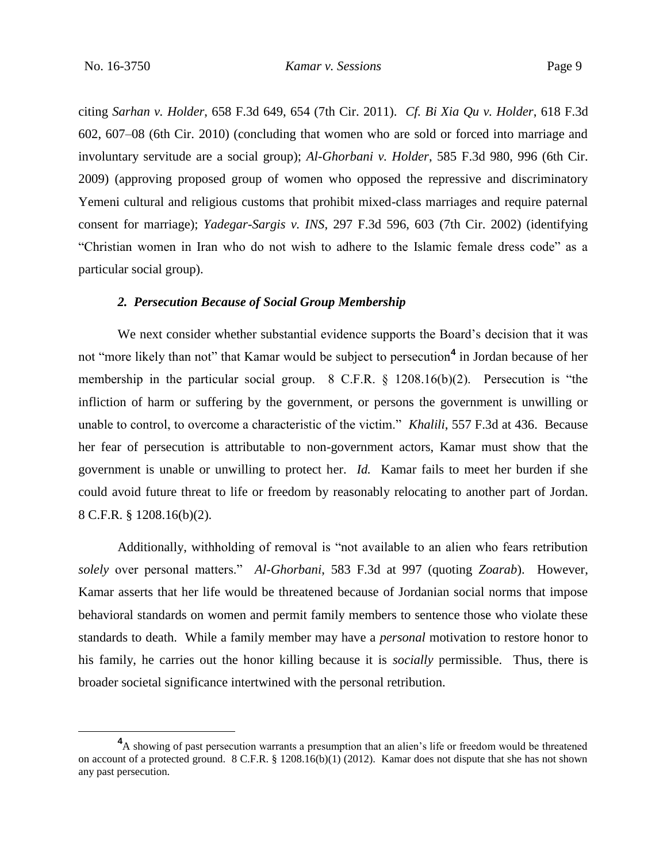$\overline{a}$ 

citing *Sarhan v. Holder*, 658 F.3d 649, 654 (7th Cir. 2011). *Cf. Bi Xia Qu v. Holder*, 618 F.3d 602, 607–08 (6th Cir. 2010) (concluding that women who are sold or forced into marriage and involuntary servitude are a social group); *Al-Ghorbani v. Holder*, 585 F.3d 980, 996 (6th Cir. 2009) (approving proposed group of women who opposed the repressive and discriminatory Yemeni cultural and religious customs that prohibit mixed-class marriages and require paternal consent for marriage); *Yadegar-Sargis v. INS*, 297 F.3d 596, 603 (7th Cir. 2002) (identifying "Christian women in Iran who do not wish to adhere to the Islamic female dress code" as a particular social group).

#### *2. Persecution Because of Social Group Membership*

We next consider whether substantial evidence supports the Board's decision that it was not "more likely than not" that Kamar would be subject to persecution**<sup>4</sup>** in Jordan because of her membership in the particular social group. 8 C.F.R. § 1208.16(b)(2). Persecution is "the infliction of harm or suffering by the government, or persons the government is unwilling or unable to control, to overcome a characteristic of the victim." *Khalili*, 557 F.3d at 436. Because her fear of persecution is attributable to non-government actors, Kamar must show that the government is unable or unwilling to protect her. *Id.* Kamar fails to meet her burden if she could avoid future threat to life or freedom by reasonably relocating to another part of Jordan. 8 C.F.R. § 1208.16(b)(2).

Additionally, withholding of removal is "not available to an alien who fears retribution *solely* over personal matters." *Al-Ghorbani*, 583 F.3d at 997 (quoting *Zoarab*). However, Kamar asserts that her life would be threatened because of Jordanian social norms that impose behavioral standards on women and permit family members to sentence those who violate these standards to death. While a family member may have a *personal* motivation to restore honor to his family, he carries out the honor killing because it is *socially* permissible. Thus, there is broader societal significance intertwined with the personal retribution.

<sup>&</sup>lt;sup>4</sup>A showing of past persecution warrants a presumption that an alien's life or freedom would be threatened on account of a protected ground. 8 C.F.R. § 1208.16(b)(1) (2012). Kamar does not dispute that she has not shown any past persecution.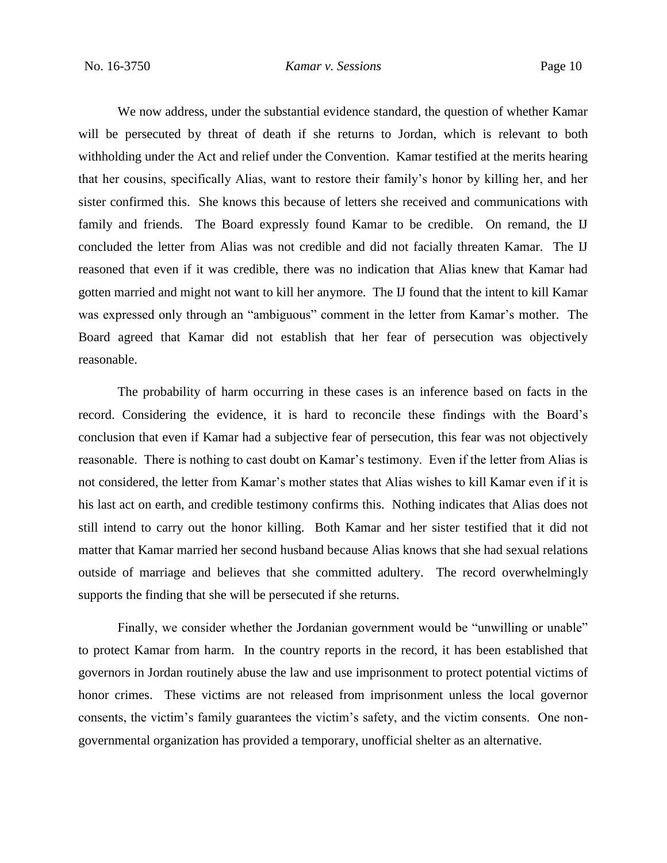We now address, under the substantial evidence standard, the question of whether Kamar will be persecuted by threat of death if she returns to Jordan, which is relevant to both withholding under the Act and relief under the Convention. Kamar testified at the merits hearing that her cousins, specifically Alias, want to restore their family's honor by killing her, and her sister confirmed this. She knows this because of letters she received and communications with family and friends. The Board expressly found Kamar to be credible. On remand, the IJ concluded the letter from Alias was not credible and did not facially threaten Kamar. The IJ reasoned that even if it was credible, there was no indication that Alias knew that Kamar had gotten married and might not want to kill her anymore. The IJ found that the intent to kill Kamar was expressed only through an "ambiguous" comment in the letter from Kamar's mother. The Board agreed that Kamar did not establish that her fear of persecution was objectively reasonable.

The probability of harm occurring in these cases is an inference based on facts in the record. Considering the evidence, it is hard to reconcile these findings with the Board's conclusion that even if Kamar had a subjective fear of persecution, this fear was not objectively reasonable. There is nothing to cast doubt on Kamar's testimony. Even if the letter from Alias is not considered, the letter from Kamar's mother states that Alias wishes to kill Kamar even if it is his last act on earth, and credible testimony confirms this. Nothing indicates that Alias does not still intend to carry out the honor killing. Both Kamar and her sister testified that it did not matter that Kamar married her second husband because Alias knows that she had sexual relations outside of marriage and believes that she committed adultery. The record overwhelmingly supports the finding that she will be persecuted if she returns.

Finally, we consider whether the Jordanian government would be "unwilling or unable" to protect Kamar from harm. In the country reports in the record, it has been established that governors in Jordan routinely abuse the law and use imprisonment to protect potential victims of honor crimes. These victims are not released from imprisonment unless the local governor consents, the victim's family guarantees the victim's safety, and the victim consents. One nongovernmental organization has provided a temporary, unofficial shelter as an alternative.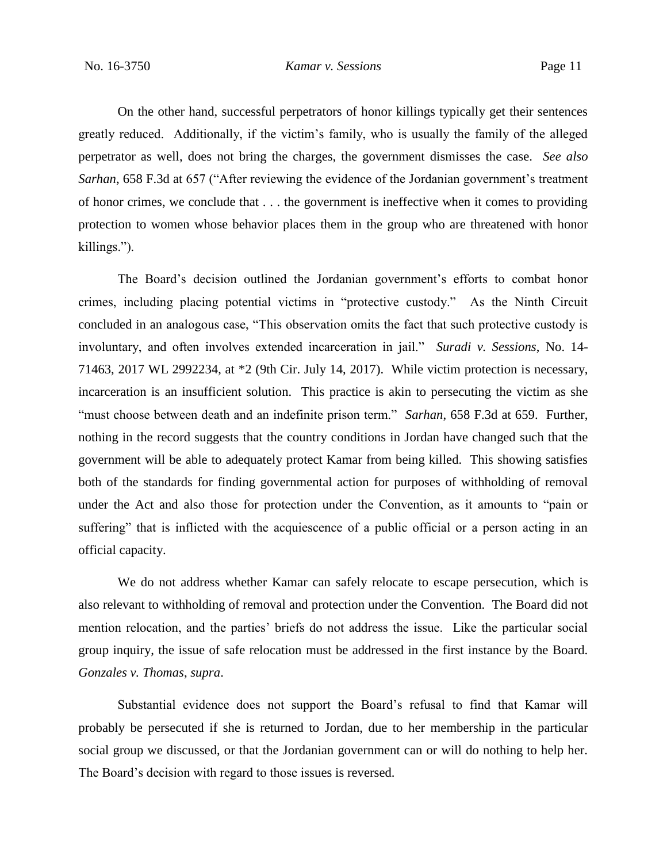On the other hand, successful perpetrators of honor killings typically get their sentences greatly reduced. Additionally, if the victim's family, who is usually the family of the alleged perpetrator as well, does not bring the charges, the government dismisses the case. *See also Sarhan*, 658 F.3d at 657 ("After reviewing the evidence of the Jordanian government's treatment of honor crimes, we conclude that . . . the government is ineffective when it comes to providing protection to women whose behavior places them in the group who are threatened with honor killings.").

The Board's decision outlined the Jordanian government's efforts to combat honor crimes, including placing potential victims in "protective custody." As the Ninth Circuit concluded in an analogous case, "This observation omits the fact that such protective custody is involuntary, and often involves extended incarceration in jail." *Suradi v. Sessions*, No. 14- 71463, 2017 WL 2992234, at \*2 (9th Cir. July 14, 2017). While victim protection is necessary, incarceration is an insufficient solution. This practice is akin to persecuting the victim as she "must choose between death and an indefinite prison term." *Sarhan*, 658 F.3d at 659. Further, nothing in the record suggests that the country conditions in Jordan have changed such that the government will be able to adequately protect Kamar from being killed. This showing satisfies both of the standards for finding governmental action for purposes of withholding of removal under the Act and also those for protection under the Convention, as it amounts to "pain or suffering" that is inflicted with the acquiescence of a public official or a person acting in an official capacity.

We do not address whether Kamar can safely relocate to escape persecution, which is also relevant to withholding of removal and protection under the Convention. The Board did not mention relocation, and the parties' briefs do not address the issue. Like the particular social group inquiry, the issue of safe relocation must be addressed in the first instance by the Board. *Gonzales v. Thomas*, *supra*.

Substantial evidence does not support the Board's refusal to find that Kamar will probably be persecuted if she is returned to Jordan, due to her membership in the particular social group we discussed, or that the Jordanian government can or will do nothing to help her. The Board's decision with regard to those issues is reversed.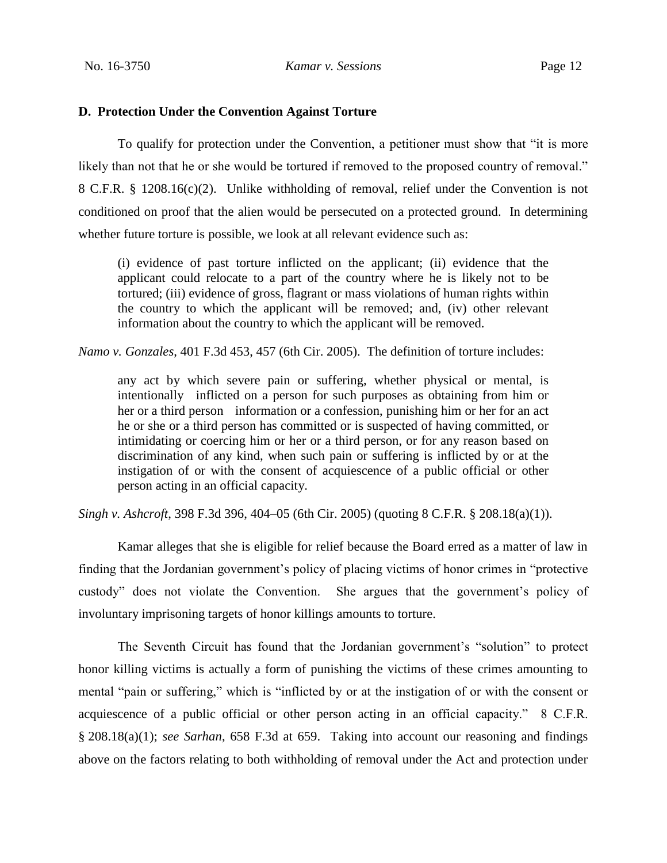# **D. Protection Under the Convention Against Torture**

To qualify for protection under the Convention, a petitioner must show that "it is more likely than not that he or she would be tortured if removed to the proposed country of removal." 8 C.F.R. § 1208.16(c)(2). Unlike withholding of removal, relief under the Convention is not conditioned on proof that the alien would be persecuted on a protected ground. In determining whether future torture is possible, we look at all relevant evidence such as:

(i) evidence of past torture inflicted on the applicant; (ii) evidence that the applicant could relocate to a part of the country where he is likely not to be tortured; (iii) evidence of gross, flagrant or mass violations of human rights within the country to which the applicant will be removed; and, (iv) other relevant information about the country to which the applicant will be removed.

*Namo v. Gonzales*, 401 F.3d 453, 457 (6th Cir. 2005). The definition of torture includes:

any act by which severe pain or suffering, whether physical or mental, is intentionally inflicted on a person for such purposes as obtaining from him or her or a third person information or a confession, punishing him or her for an act he or she or a third person has committed or is suspected of having committed, or intimidating or coercing him or her or a third person, or for any reason based on discrimination of any kind, when such pain or suffering is inflicted by or at the instigation of or with the consent of acquiescence of a public official or other person acting in an official capacity.

*Singh v. Ashcroft*, 398 F.3d 396, 404–05 (6th Cir. 2005) (quoting 8 C.F.R. § 208.18(a)(1)).

Kamar alleges that she is eligible for relief because the Board erred as a matter of law in finding that the Jordanian government's policy of placing victims of honor crimes in "protective custody" does not violate the Convention. She argues that the government's policy of involuntary imprisoning targets of honor killings amounts to torture.

The Seventh Circuit has found that the Jordanian government's "solution" to protect honor killing victims is actually a form of punishing the victims of these crimes amounting to mental "pain or suffering," which is "inflicted by or at the instigation of or with the consent or acquiescence of a public official or other person acting in an official capacity." 8 C.F.R. § 208.18(a)(1); *see Sarhan*, 658 F.3d at 659. Taking into account our reasoning and findings above on the factors relating to both withholding of removal under the Act and protection under